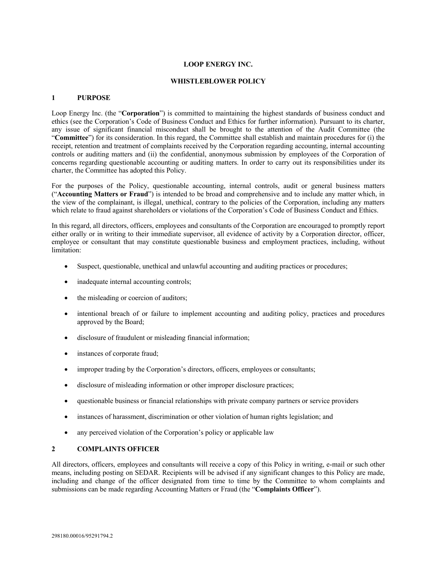# **LOOP ENERGY INC.**

#### **WHISTLEBLOWER POLICY**

## **1 PURPOSE**

Loop Energy Inc. (the "**Corporation**") is committed to maintaining the highest standards of business conduct and ethics (see the Corporation's Code of Business Conduct and Ethics for further information). Pursuant to its charter, any issue of significant financial misconduct shall be brought to the attention of the Audit Committee (the "**Committee**") for its consideration. In this regard, the Committee shall establish and maintain procedures for (i) the receipt, retention and treatment of complaints received by the Corporation regarding accounting, internal accounting controls or auditing matters and (ii) the confidential, anonymous submission by employees of the Corporation of concerns regarding questionable accounting or auditing matters. In order to carry out its responsibilities under its charter, the Committee has adopted this Policy.

For the purposes of the Policy, questionable accounting, internal controls, audit or general business matters ("**Accounting Matters or Fraud**") is intended to be broad and comprehensive and to include any matter which, in the view of the complainant, is illegal, unethical, contrary to the policies of the Corporation, including any matters which relate to fraud against shareholders or violations of the Corporation's Code of Business Conduct and Ethics.

In this regard, all directors, officers, employees and consultants of the Corporation are encouraged to promptly report either orally or in writing to their immediate supervisor, all evidence of activity by a Corporation director, officer, employee or consultant that may constitute questionable business and employment practices, including, without limitation:

- Suspect, questionable, unethical and unlawful accounting and auditing practices or procedures;
- inadequate internal accounting controls;
- the misleading or coercion of auditors;
- intentional breach of or failure to implement accounting and auditing policy, practices and procedures approved by the Board;
- disclosure of fraudulent or misleading financial information;
- instances of corporate fraud;
- improper trading by the Corporation's directors, officers, employees or consultants;
- disclosure of misleading information or other improper disclosure practices;
- questionable business or financial relationships with private company partners or service providers
- instances of harassment, discrimination or other violation of human rights legislation; and
- any perceived violation of the Corporation's policy or applicable law

## **2 COMPLAINTS OFFICER**

All directors, officers, employees and consultants will receive a copy of this Policy in writing, e-mail or such other means, including posting on SEDAR. Recipients will be advised if any significant changes to this Policy are made, including and change of the officer designated from time to time by the Committee to whom complaints and submissions can be made regarding Accounting Matters or Fraud (the "**Complaints Officer**").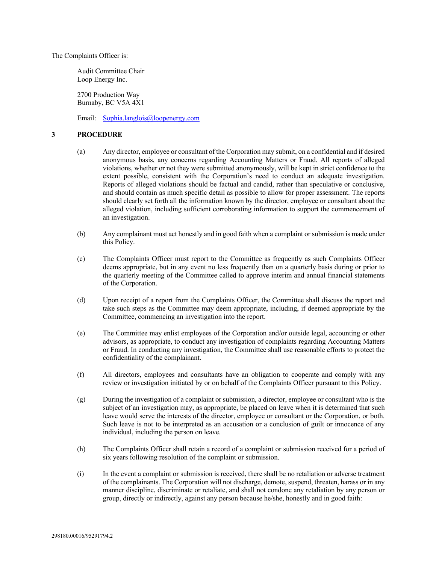The Complaints Officer is:

Audit Committee Chair Loop Energy Inc.

2700 Production Way Burnaby, BC V5A 4X1

Email: Sophia.langlois@loopenergy.com

#### **3 PROCEDURE**

- (a) Any director, employee or consultant of the Corporation may submit, on a confidential and if desired anonymous basis, any concerns regarding Accounting Matters or Fraud. All reports of alleged violations, whether or not they were submitted anonymously, will be kept in strict confidence to the extent possible, consistent with the Corporation's need to conduct an adequate investigation. Reports of alleged violations should be factual and candid, rather than speculative or conclusive, and should contain as much specific detail as possible to allow for proper assessment. The reports should clearly set forth all the information known by the director, employee or consultant about the alleged violation, including sufficient corroborating information to support the commencement of an investigation.
- (b) Any complainant must act honestly and in good faith when a complaint or submission is made under this Policy.
- (c) The Complaints Officer must report to the Committee as frequently as such Complaints Officer deems appropriate, but in any event no less frequently than on a quarterly basis during or prior to the quarterly meeting of the Committee called to approve interim and annual financial statements of the Corporation.
- (d) Upon receipt of a report from the Complaints Officer, the Committee shall discuss the report and take such steps as the Committee may deem appropriate, including, if deemed appropriate by the Committee, commencing an investigation into the report.
- (e) The Committee may enlist employees of the Corporation and/or outside legal, accounting or other advisors, as appropriate, to conduct any investigation of complaints regarding Accounting Matters or Fraud. In conducting any investigation, the Committee shall use reasonable efforts to protect the confidentiality of the complainant.
- (f) All directors, employees and consultants have an obligation to cooperate and comply with any review or investigation initiated by or on behalf of the Complaints Officer pursuant to this Policy.
- (g) During the investigation of a complaint or submission, a director, employee or consultant who is the subject of an investigation may, as appropriate, be placed on leave when it is determined that such leave would serve the interests of the director, employee or consultant or the Corporation, or both. Such leave is not to be interpreted as an accusation or a conclusion of guilt or innocence of any individual, including the person on leave.
- (h) The Complaints Officer shall retain a record of a complaint or submission received for a period of six years following resolution of the complaint or submission.
- (i) In the event a complaint or submission is received, there shall be no retaliation or adverse treatment of the complainants. The Corporation will not discharge, demote, suspend, threaten, harass or in any manner discipline, discriminate or retaliate, and shall not condone any retaliation by any person or group, directly or indirectly, against any person because he/she, honestly and in good faith: